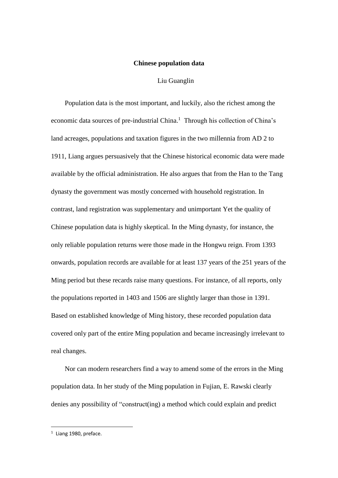## **Chinese population data**

## Liu Guanglin

Population data is the most important, and luckily, also the richest among the economic data sources of pre-industrial China. <sup>1</sup> Through his collection of China's land acreages, populations and taxation figures in the two millennia from AD 2 to 1911, Liang argues persuasively that the Chinese historical economic data were made available by the official administration. He also argues that from the Han to the Tang dynasty the government was mostly concerned with household registration. In contrast, land registration was supplementary and unimportant Yet the quality of Chinese population data is highly skeptical. In the Ming dynasty, for instance, the only reliable population returns were those made in the Hongwu reign. From 1393 onwards, population records are available for at least 137 years of the 251 years of the Ming period but these recards raise many questions. For instance, of all reports, only the populations reported in 1403 and 1506 are slightly larger than those in 1391. Based on established knowledge of Ming history, these recorded population data covered only part of the entire Ming population and became increasingly irrelevant to real changes.

Nor can modern researchers find a way to amend some of the errors in the Ming population data. In her study of the Ming population in Fujian, E. Rawski clearly denies any possibility of "construct(ing) a method which could explain and predict

 $1$  Liang 1980, preface.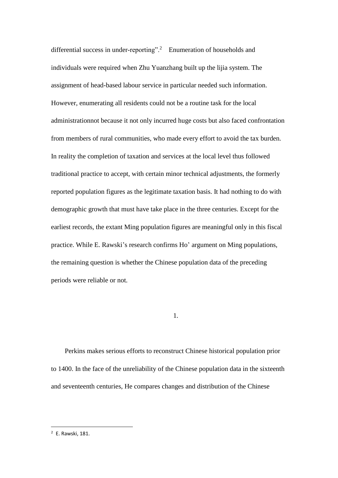differential success in under-reporting".<sup>2</sup> Enumeration of households and individuals were required when Zhu Yuanzhang built up the lijia system. The assignment of head-based labour service in particular needed such information. However, enumerating all residents could not be a routine task for the local administrationnot because it not only incurred huge costs but also faced confrontation from members of rural communities, who made every effort to avoid the tax burden. In reality the completion of taxation and services at the local level thus followed traditional practice to accept, with certain minor technical adjustments, the formerly reported population figures as the legitimate taxation basis. It had nothing to do with demographic growth that must have take place in the three centuries. Except for the earliest records, the extant Ming population figures are meaningful only in this fiscal practice. While E. Rawski's research confirms Ho' argument on Ming populations, the remaining question is whether the Chinese population data of the preceding periods were reliable or not.

1.

Perkins makes serious efforts to reconstruct Chinese historical population prior to 1400. In the face of the unreliability of the Chinese population data in the sixteenth and seventeenth centuries, He compares changes and distribution of the Chinese

<sup>2</sup> E. Rawski, 181.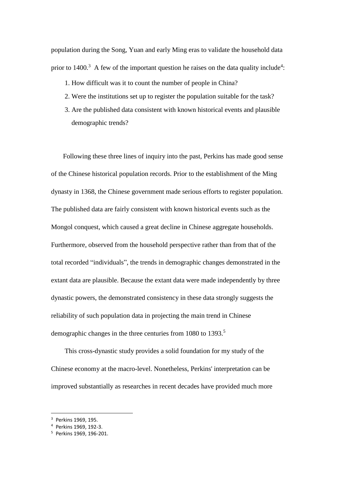population during the Song, Yuan and early Ming eras to validate the household data prior to  $1400$ <sup>3</sup>. A few of the important question he raises on the data quality include<sup>4</sup>:

- 1. How difficult was it to count the number of people in China?
- 2. Were the institutions set up to register the population suitable for the task?
- 3. Are the published data consistent with known historical events and plausible demographic trends?

Following these three lines of inquiry into the past, Perkins has made good sense of the Chinese historical population records. Prior to the establishment of the Ming dynasty in 1368, the Chinese government made serious efforts to register population. The published data are fairly consistent with known historical events such as the Mongol conquest, which caused a great decline in Chinese aggregate households. Furthermore, observed from the household perspective rather than from that of the total recorded "individuals", the trends in demographic changes demonstrated in the extant data are plausible. Because the extant data were made independently by three dynastic powers, the demonstrated consistency in these data strongly suggests the reliability of such population data in projecting the main trend in Chinese demographic changes in the three centuries from 1080 to 1393.<sup>5</sup>

This cross-dynastic study provides a solid foundation for my study of the Chinese economy at the macro-level. Nonetheless, Perkins' interpretation can be improved substantially as researches in recent decades have provided much more

<sup>3</sup> Perkins 1969, 195.

<sup>4</sup> Perkins 1969, 192-3.

<sup>5</sup> Perkins 1969, 196-201.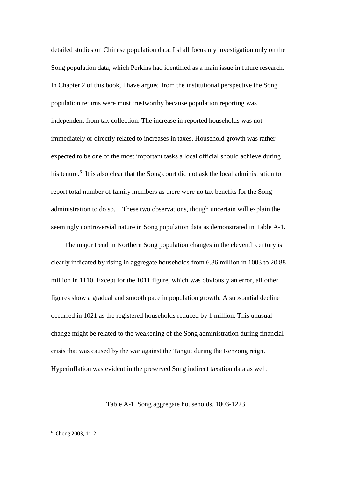detailed studies on Chinese population data. I shall focus my investigation only on the Song population data, which Perkins had identified as a main issue in future research. In Chapter 2 of this book, I have argued from the institutional perspective the Song population returns were most trustworthy because population reporting was independent from tax collection. The increase in reported households was not immediately or directly related to increases in taxes. Household growth was rather expected to be one of the most important tasks a local official should achieve during his tenure.<sup>6</sup> It is also clear that the Song court did not ask the local administration to report total number of family members as there were no tax benefits for the Song administration to do so. These two observations, though uncertain will explain the seemingly controversial nature in Song population data as demonstrated in Table A-1.

The major trend in Northern Song population changes in the eleventh century is clearly indicated by rising in aggregate households from 6.86 million in 1003 to 20.88 million in 1110. Except for the 1011 figure, which was obviously an error, all other figures show a gradual and smooth pace in population growth. A substantial decline occurred in 1021 as the registered households reduced by 1 million. This unusual change might be related to the weakening of the Song administration during financial crisis that was caused by the war against the Tangut during the Renzong reign. Hyperinflation was evident in the preserved Song indirect taxation data as well.

## Table A-1. Song aggregate households, 1003-1223

<sup>6</sup> Cheng 2003, 11-2.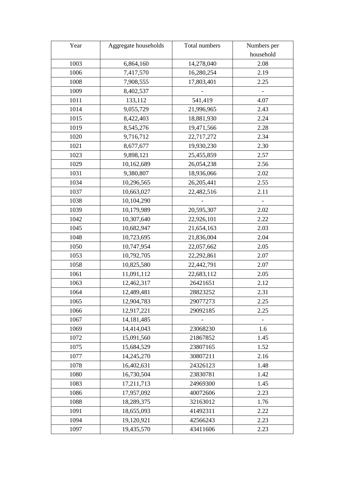| Year | Aggregate households | Total numbers | Numbers per |
|------|----------------------|---------------|-------------|
|      |                      |               | household   |
| 1003 | 6,864,160            | 14,278,040    | 2.08        |
| 1006 | 7,417,570            | 16,280,254    | 2.19        |
| 1008 | 7,908,555            | 17,803,401    | 2.25        |
| 1009 | 8,402,537            |               |             |
| 1011 | 133,112              | 541,419       | 4.07        |
| 1014 | 9,055,729            | 21,996,965    | 2.43        |
| 1015 | 8,422,403            | 18,881,930    | 2.24        |
| 1019 | 8,545,276            | 19,471,566    | 2.28        |
| 1020 | 9,716,712            | 22,717,272    | 2.34        |
| 1021 | 8,677,677            | 19,930,230    | 2.30        |
| 1023 | 9,898,121            | 25,455,859    | 2.57        |
| 1029 | 10,162,689           | 26,054,238    | 2.56        |
| 1031 | 9,380,807            | 18,936,066    | 2.02        |
| 1034 | 10,296,565           | 26,205,441    | 2.55        |
| 1037 | 10,663,027           | 22,482,516    | 2.11        |
| 1038 | 10,104,290           |               |             |
| 1039 | 10,179,989           | 20,595,307    | 2.02        |
| 1042 | 10,307,640           | 22,926,101    | 2.22        |
| 1045 | 10,682,947           | 21,654,163    | 2.03        |
| 1048 | 10,723,695           | 21,836,004    | 2.04        |
| 1050 | 10,747,954           | 22,057,662    | 2.05        |
| 1053 | 10,792,705           | 22,292,861    | 2.07        |
| 1058 | 10,825,580           | 22,442,791    | 2.07        |
| 1061 | 11,091,112           | 22,683,112    | 2.05        |
| 1063 | 12,462,317           | 26421651      | 2.12        |
| 1064 | 12,489,481           | 28823252      | 2.31        |
| 1065 | 12,904,783           | 29077273      | 2.25        |
| 1066 | 12,917,221           | 29092185      | 2.25        |
| 1067 | 14, 181, 485         |               |             |
| 1069 | 14,414,043           | 23068230      | 1.6         |
| 1072 | 15,091,560           | 21867852      | 1.45        |
| 1075 | 15,684,529           | 23807165      | 1.52        |
| 1077 | 14,245,270           | 30807211      | 2.16        |
| 1078 | 16,402,631           | 24326123      | 1.48        |
| 1080 | 16,730,504           | 23830781      | 1.42        |
| 1083 | 17,211,713           | 24969300      | 1.45        |
| 1086 | 17,957,092           | 40072606      | 2.23        |
| 1088 | 18,289,375           | 32163012      | 1.76        |
| 1091 | 18,655,093           | 41492311      | 2.22        |
| 1094 | 19,120,921           | 42566243      | 2.23        |
| 1097 | 19,435,570           | 43411606      | 2.23        |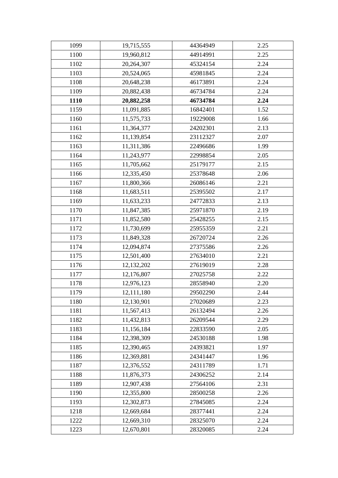| 1099 | 19,715,555 | 44364949 | 2.25 |
|------|------------|----------|------|
| 1100 | 19,960,812 | 44914991 | 2.25 |
| 1102 | 20,264,307 | 45324154 | 2.24 |
| 1103 | 20,524,065 | 45981845 | 2.24 |
| 1108 | 20,648,238 | 46173891 | 2.24 |
| 1109 | 20,882,438 | 46734784 | 2.24 |
| 1110 | 20,882,258 | 46734784 | 2.24 |
| 1159 | 11,091,885 | 16842401 | 1.52 |
| 1160 | 11,575,733 | 19229008 | 1.66 |
| 1161 | 11,364,377 | 24202301 | 2.13 |
| 1162 | 11,139,854 | 23112327 | 2.07 |
| 1163 | 11,311,386 | 22496686 | 1.99 |
| 1164 | 11,243,977 | 22998854 | 2.05 |
| 1165 | 11,705,662 | 25179177 | 2.15 |
| 1166 | 12,335,450 | 25378648 | 2.06 |
| 1167 | 11,800,366 | 26086146 | 2.21 |
| 1168 | 11,683,511 | 25395502 | 2.17 |
| 1169 | 11,633,233 | 24772833 | 2.13 |
| 1170 | 11,847,385 | 25971870 | 2.19 |
| 1171 | 11,852,580 | 25428255 | 2.15 |
| 1172 | 11,730,699 | 25955359 | 2.21 |
| 1173 | 11,849,328 | 26720724 | 2.26 |
| 1174 | 12,094,874 | 27375586 | 2.26 |
| 1175 | 12,501,400 | 27634010 | 2.21 |
| 1176 | 12,132,202 | 27619019 | 2.28 |
| 1177 | 12,176,807 | 27025758 | 2.22 |
| 1178 | 12,976,123 | 28558940 | 2.20 |
| 1179 | 12,111,180 | 29502290 | 2.44 |
| 1180 | 12,130,901 | 27020689 | 2.23 |
| 1181 | 11,567,413 | 26132494 | 2.26 |
| 1182 | 11,432,813 | 26209544 | 2.29 |
| 1183 | 11,156,184 | 22833590 | 2.05 |
| 1184 | 12,398,309 | 24530188 | 1.98 |
| 1185 | 12,390,465 | 24393821 | 1.97 |
| 1186 | 12,369,881 | 24341447 | 1.96 |
| 1187 | 12,376,552 | 24311789 | 1.71 |
| 1188 | 11,876,373 | 24306252 | 2.14 |
| 1189 | 12,907,438 | 27564106 | 2.31 |
| 1190 | 12,355,800 | 28500258 | 2.26 |
| 1193 | 12,302,873 | 27845085 | 2.24 |
| 1218 | 12,669,684 | 28377441 | 2.24 |
| 1222 | 12,669,310 | 28325070 | 2.24 |
| 1223 | 12,670,801 | 28320085 | 2.24 |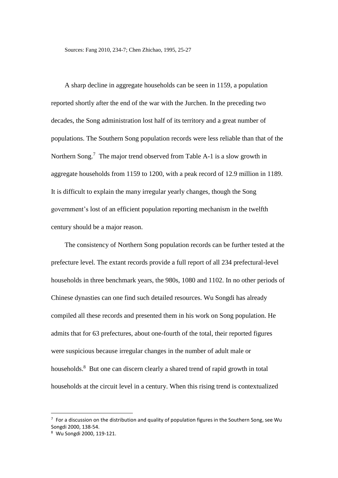Sources: Fang 2010, 234-7; Chen Zhichao, 1995, 25-27

A sharp decline in aggregate households can be seen in 1159, a population reported shortly after the end of the war with the Jurchen. In the preceding two decades, the Song administration lost half of its territory and a great number of populations. The Southern Song population records were less reliable than that of the Northern Song.<sup>7</sup> The major trend observed from Table A-1 is a slow growth in aggregate households from 1159 to 1200, with a peak record of 12.9 million in 1189. It is difficult to explain the many irregular yearly changes, though the Song government's lost of an efficient population reporting mechanism in the twelfth century should be a major reason.

The consistency of Northern Song population records can be further tested at the prefecture level. The extant records provide a full report of all 234 prefectural-level households in three benchmark years, the 980s, 1080 and 1102. In no other periods of Chinese dynasties can one find such detailed resources. Wu Songdi has already compiled all these records and presented them in his work on Song population. He admits that for 63 prefectures, about one-fourth of the total, their reported figures were suspicious because irregular changes in the number of adult male or households.<sup>8</sup> But one can discern clearly a shared trend of rapid growth in total households at the circuit level in a century. When this rising trend is contextualized

 $7$  For a discussion on the distribution and quality of population figures in the Southern Song, see Wu Songdi 2000, 138-54.

<sup>8</sup> Wu Songdi 2000, 119-121.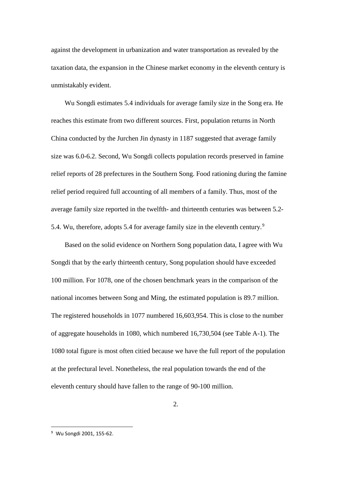against the development in urbanization and water transportation as revealed by the taxation data, the expansion in the Chinese market economy in the eleventh century is unmistakably evident.

Wu Songdi estimates 5.4 individuals for average family size in the Song era. He reaches this estimate from two different sources. First, population returns in North China conducted by the Jurchen Jin dynasty in 1187 suggested that average family size was 6.0-6.2. Second, Wu Songdi collects population records preserved in famine relief reports of 28 prefectures in the Southern Song. Food rationing during the famine relief period required full accounting of all members of a family. Thus, most of the average family size reported in the twelfth- and thirteenth centuries was between 5.2- 5.4. Wu, therefore, adopts 5.4 for average family size in the eleventh century.<sup>9</sup>

Based on the solid evidence on Northern Song population data, I agree with Wu Songdi that by the early thirteenth century, Song population should have exceeded 100 million. For 1078, one of the chosen benchmark years in the comparison of the national incomes between Song and Ming, the estimated population is 89.7 million. The registered households in 1077 numbered 16,603,954. This is close to the number of aggregate households in 1080, which numbered 16,730,504 (see Table A-1). The 1080 total figure is most often citied because we have the full report of the population at the prefectural level. Nonetheless, the real population towards the end of the eleventh century should have fallen to the range of 90-100 million.

<sup>9</sup> Wu Songdi 2001, 155-62.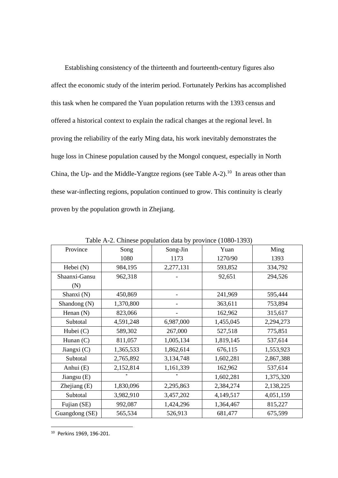Establishing consistency of the thirteenth and fourteenth-century figures also affect the economic study of the interim period. Fortunately Perkins has accomplished this task when he compared the Yuan population returns with the 1393 census and offered a historical context to explain the radical changes at the regional level. In proving the reliability of the early Ming data, his work inevitably demonstrates the huge loss in Chinese population caused by the Mongol conquest, especially in North China, the Up- and the Middle-Yangtze regions (see Table A-2).<sup>10</sup> In areas other than these war-inflecting regions, population continued to grow. This continuity is clearly proven by the population growth in Zhejiang.

| Province       | Song      | $\frac{1}{2}$ and $\frac{1}{2}$ composed proposition $\frac{1}{2}$ and $\frac{1}{2}$ provisive $\frac{1}{2}$ (1000 1000)<br>Song-Jin | Yuan      | Ming      |
|----------------|-----------|--------------------------------------------------------------------------------------------------------------------------------------|-----------|-----------|
|                | 1080      | 1173                                                                                                                                 | 1270/90   | 1393      |
| Hebei (N)      | 984,195   | 2,277,131                                                                                                                            | 593,852   | 334,792   |
| Shaanxi-Gansu  | 962,318   |                                                                                                                                      | 92,651    | 294,526   |
| (N)            |           |                                                                                                                                      |           |           |
| Shanxi (N)     | 450,869   |                                                                                                                                      | 241,969   | 595,444   |
| Shandong (N)   | 1,370,800 |                                                                                                                                      | 363,611   | 753,894   |
| Henan $(N)$    | 823,066   |                                                                                                                                      | 162,962   | 315,617   |
| Subtotal       | 4,591,248 | 6,987,000                                                                                                                            | 1,455,045 | 2,294,273 |
| Hubei (C)      | 589,302   | 267,000                                                                                                                              | 527,518   | 775,851   |
| Hunan $(C)$    | 811,057   | 1,005,134                                                                                                                            | 1,819,145 | 537,614   |
| Jiangxi $(C)$  | 1,365,533 | 1,862,614                                                                                                                            | 676,115   | 1,553,923 |
| Subtotal       | 2,765,892 | 3,134,748                                                                                                                            | 1,602,281 | 2,867,388 |
| Anhui (E)      | 2,152,814 | 1,161,339                                                                                                                            | 162,962   | 537,614   |
| Jiangsu (E)    |           | *                                                                                                                                    | 1,602,281 | 1,375,320 |
| Zhejiang $(E)$ | 1,830,096 | 2,295,863                                                                                                                            | 2,384,274 | 2,138,225 |
| Subtotal       | 3,982,910 | 3,457,202                                                                                                                            | 4,149,517 | 4,051,159 |
| Fujian (SE)    | 992,087   | 1,424,296                                                                                                                            | 1,364,467 | 815,227   |
| Guangdong (SE) | 565,534   | 526,913                                                                                                                              | 681,477   | 675,599   |

Table A-2. Chinese population data by province (1080-1393)

<sup>10</sup> Perkins 1969, 196-201.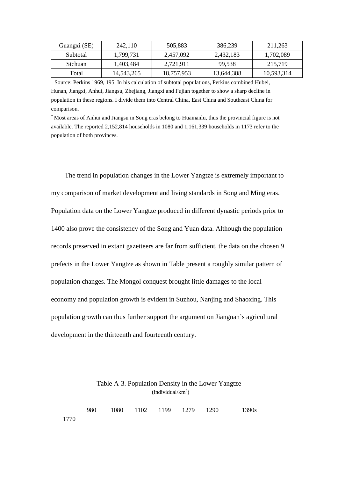| Guangxi (SE) | 242,110    | 505.883    | 386.239    | 211.263    |
|--------------|------------|------------|------------|------------|
| Subtotal     | 1,799,731  | 2,457,092  | 2,432,183  | 1,702,089  |
| Sichuan      | 1.403.484  | 2,721,911  | 99.538     | 215,719    |
| Total        | 14,543,265 | 18,757,953 | 13,644,388 | 10,593,314 |

Source: Perkins 1969, 195. In his calculation of subtotal populations, Perkins combined Hubei, Hunan, Jiangxi, Anhui, Jiangsu, Zhejiang, Jiangxi and Fujian together to show a sharp decline in population in these regions. I divide them into Central China, East China and Southeast China for comparison.

\* Most areas of Anhui and Jiangsu in Song eras belong to Huainanlu, thus the provincial figure is not available. The reported 2,152,814 households in 1080 and 1,161,339 households in 1173 refer to the population of both provinces.

The trend in population changes in the Lower Yangtze is extremely important to my comparison of market development and living standards in Song and Ming eras. Population data on the Lower Yangtze produced in different dynastic periods prior to 1400 also prove the consistency of the Song and Yuan data. Although the population records preserved in extant gazetteers are far from sufficient, the data on the chosen 9 prefects in the Lower Yangtze as shown in Table present a roughly similar pattern of population changes. The Mongol conquest brought little damages to the local economy and population growth is evident in Suzhou, Nanjing and Shaoxing. This population growth can thus further support the argument on Jiangnan's agricultural development in the thirteenth and fourteenth century.

## Table A-3. Population Density in the Lower Yangtze (individual/km<sup>2</sup> )

|      |  |  | 980 1080 1102 1199 1279 1290 1390s |  |
|------|--|--|------------------------------------|--|
| 1770 |  |  |                                    |  |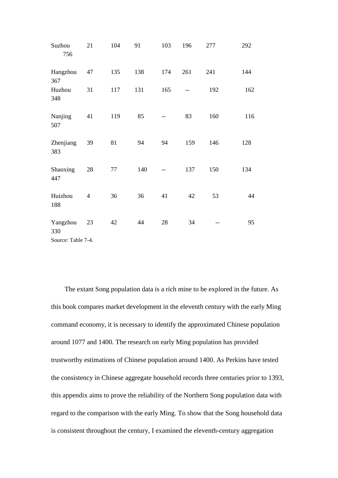| Suzhou<br>756      | 21             | 104 | 91  | 103 | 196 | 277 | 292 |
|--------------------|----------------|-----|-----|-----|-----|-----|-----|
| Hangzhou<br>367    | 47             | 135 | 138 | 174 | 261 | 241 | 144 |
| Huzhou<br>348      | 31             | 117 | 131 | 165 | --  | 192 | 162 |
| Nanjing<br>507     | 41             | 119 | 85  |     | 83  | 160 | 116 |
| Zhenjiang<br>383   | 39             | 81  | 94  | 94  | 159 | 146 | 128 |
| Shaoxing<br>447    | 28             | 77  | 140 |     | 137 | 150 | 134 |
| Huizhou<br>188     | $\overline{4}$ | 36  | 36  | 41  | 42  | 53  | 44  |
| Yangzhou<br>330    | 23             | 42  | 44  | 28  | 34  |     | 95  |
| Source: Table 7-4. |                |     |     |     |     |     |     |

The extant Song population data is a rich mine to be explored in the future. As this book compares market development in the eleventh century with the early Ming command economy, it is necessary to identify the approximated Chinese population around 1077 and 1400. The research on early Ming population has provided trustworthy estimations of Chinese population around 1400. As Perkins have tested the consistency in Chinese aggregate household records three centuries prior to 1393, this appendix aims to prove the reliability of the Northern Song population data with regard to the comparison with the early Ming. To show that the Song household data is consistent throughout the century, I examined the eleventh-century aggregation